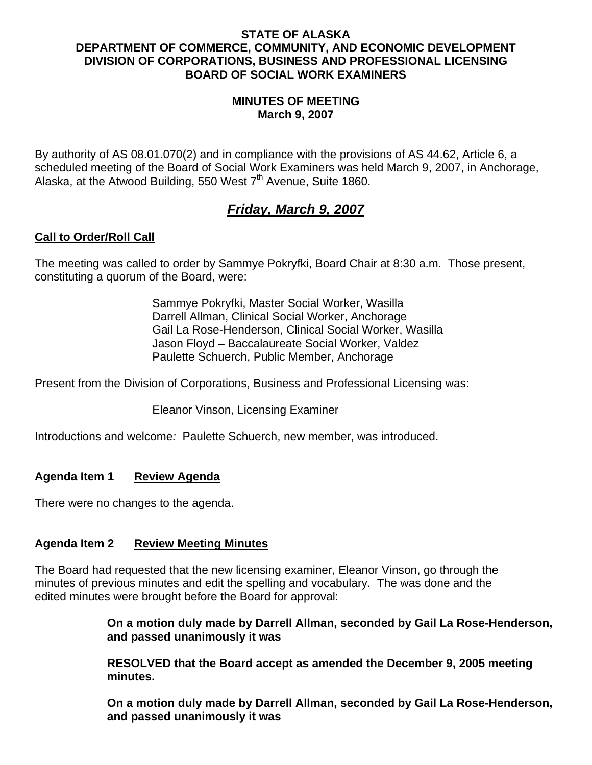### **STATE OF ALASKA DEPARTMENT OF COMMERCE, COMMUNITY, AND ECONOMIC DEVELOPMENT DIVISION OF CORPORATIONS, BUSINESS AND PROFESSIONAL LICENSING BOARD OF SOCIAL WORK EXAMINERS**

### **MINUTES OF MEETING March 9, 2007**

By authority of AS 08.01.070(2) and in compliance with the provisions of AS 44.62, Article 6, a scheduled meeting of the Board of Social Work Examiners was held March 9, 2007, in Anchorage, Alaska, at the Atwood Building, 550 West  $7<sup>th</sup>$  Avenue, Suite 1860.

# *Friday, March 9, 2007*

# **Call to Order/Roll Call**

The meeting was called to order by Sammye Pokryfki, Board Chair at 8:30 a.m. Those present, constituting a quorum of the Board, were:

> Sammye Pokryfki, Master Social Worker, Wasilla Darrell Allman, Clinical Social Worker, Anchorage Gail La Rose-Henderson, Clinical Social Worker, Wasilla Jason Floyd – Baccalaureate Social Worker, Valdez Paulette Schuerch, Public Member, Anchorage

Present from the Division of Corporations, Business and Professional Licensing was:

Eleanor Vinson, Licensing Examiner

Introductions and welcome*:* Paulette Schuerch, new member, was introduced.

# **Agenda Item 1 Review Agenda**

There were no changes to the agenda.

# **Agenda Item 2 Review Meeting Minutes**

The Board had requested that the new licensing examiner, Eleanor Vinson, go through the minutes of previous minutes and edit the spelling and vocabulary. The was done and the edited minutes were brought before the Board for approval:

> **On a motion duly made by Darrell Allman, seconded by Gail La Rose-Henderson, and passed unanimously it was**

 **RESOLVED that the Board accept as amended the December 9, 2005 meeting minutes.** 

 **On a motion duly made by Darrell Allman, seconded by Gail La Rose-Henderson, and passed unanimously it was**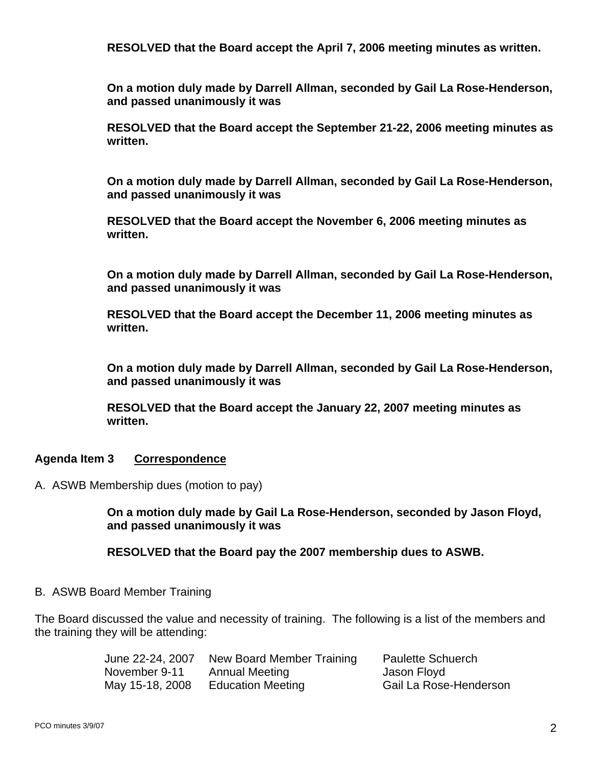**RESOLVED that the Board accept the April 7, 2006 meeting minutes as written.** 

 **On a motion duly made by Darrell Allman, seconded by Gail La Rose-Henderson, and passed unanimously it was** 

 **RESOLVED that the Board accept the September 21-22, 2006 meeting minutes as written.** 

 **On a motion duly made by Darrell Allman, seconded by Gail La Rose-Henderson, and passed unanimously it was** 

 **RESOLVED that the Board accept the November 6, 2006 meeting minutes as written.** 

 **On a motion duly made by Darrell Allman, seconded by Gail La Rose-Henderson, and passed unanimously it was** 

 **RESOLVED that the Board accept the December 11, 2006 meeting minutes as written.** 

 **On a motion duly made by Darrell Allman, seconded by Gail La Rose-Henderson, and passed unanimously it was** 

 **RESOLVED that the Board accept the January 22, 2007 meeting minutes as written.** 

# **Agenda Item 3 Correspondence**

A. ASWB Membership dues (motion to pay)

 **On a motion duly made by Gail La Rose-Henderson, seconded by Jason Floyd, and passed unanimously it was** 

 **RESOLVED that the Board pay the 2007 membership dues to ASWB.** 

#### B. ASWB Board Member Training

The Board discussed the value and necessity of training. The following is a list of the members and the training they will be attending:

> June 22-24, 2007 New Board Member Training Paulette Schuerch November 9-11 Annual Meeting The Mason Floyd May 15-18, 2008 Education Meeting Gail La Rose-Henderson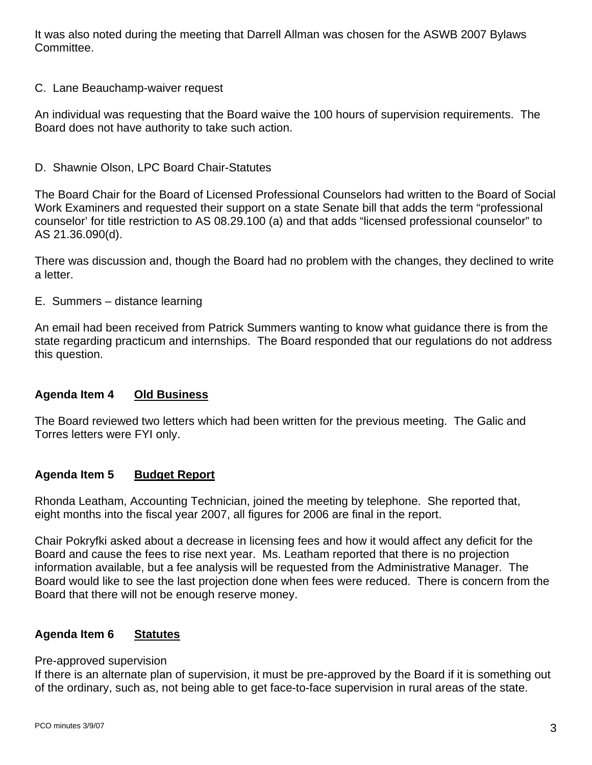It was also noted during the meeting that Darrell Allman was chosen for the ASWB 2007 Bylaws Committee.

C. Lane Beauchamp-waiver request

An individual was requesting that the Board waive the 100 hours of supervision requirements. The Board does not have authority to take such action.

D. Shawnie Olson, LPC Board Chair-Statutes

The Board Chair for the Board of Licensed Professional Counselors had written to the Board of Social Work Examiners and requested their support on a state Senate bill that adds the term "professional counselor' for title restriction to AS 08.29.100 (a) and that adds "licensed professional counselor" to AS 21.36.090(d).

There was discussion and, though the Board had no problem with the changes, they declined to write a letter.

E. Summers – distance learning

An email had been received from Patrick Summers wanting to know what guidance there is from the state regarding practicum and internships. The Board responded that our regulations do not address this question.

# **Agenda Item 4 Old Business**

The Board reviewed two letters which had been written for the previous meeting. The Galic and Torres letters were FYI only.

#### **Agenda Item 5 Budget Report**

Rhonda Leatham, Accounting Technician, joined the meeting by telephone. She reported that, eight months into the fiscal year 2007, all figures for 2006 are final in the report.

Chair Pokryfki asked about a decrease in licensing fees and how it would affect any deficit for the Board and cause the fees to rise next year. Ms. Leatham reported that there is no projection information available, but a fee analysis will be requested from the Administrative Manager. The Board would like to see the last projection done when fees were reduced. There is concern from the Board that there will not be enough reserve money.

#### **Agenda Item 6 Statutes**

#### Pre-approved supervision

If there is an alternate plan of supervision, it must be pre-approved by the Board if it is something out of the ordinary, such as, not being able to get face-to-face supervision in rural areas of the state.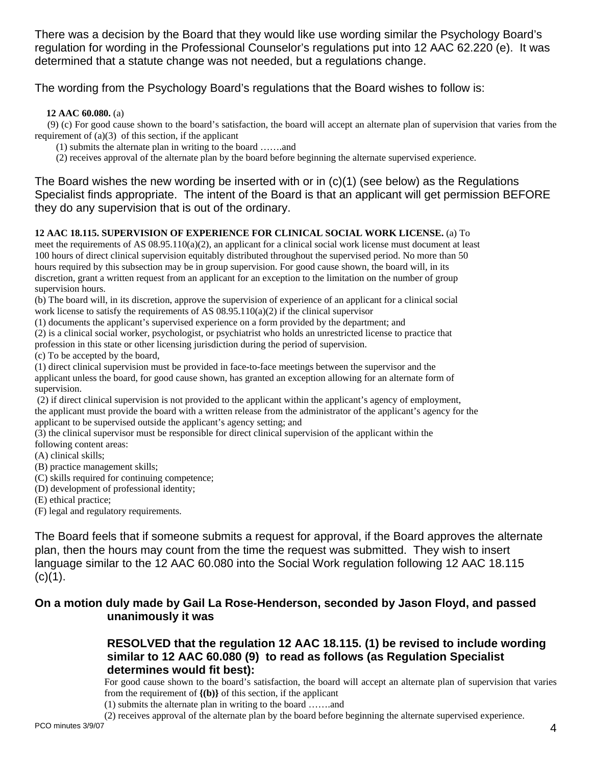There was a decision by the Board that they would like use wording similar the Psychology Board's regulation for wording in the Professional Counselor's regulations put into 12 AAC 62.220 (e). It was determined that a statute change was not needed, but a regulations change.

The wording from the Psychology Board's regulations that the Board wishes to follow is:

**12 AAC 60.080.** (a)

(9) (c) For good cause shown to the board's satisfaction, the board will accept an alternate plan of supervision that varies from the requirement of  $(a)(3)$  of this section, if the applicant

(1) submits the alternate plan in writing to the board …….and

(2) receives approval of the alternate plan by the board before beginning the alternate supervised experience.

The Board wishes the new wording be inserted with or in  $(c)(1)$  (see below) as the Regulations Specialist finds appropriate. The intent of the Board is that an applicant will get permission BEFORE they do any supervision that is out of the ordinary.

#### **12 AAC 18.115. SUPERVISION OF EXPERIENCE FOR CLINICAL SOCIAL WORK LICENSE.** (a) To

meet the requirements of AS  $(0.895.110(a)(2))$ , an applicant for a clinical social work license must document at least 100 hours of direct clinical supervision equitably distributed throughout the supervised period. No more than 50 hours required by this subsection may be in group supervision. For good cause shown, the board will, in its discretion, grant a written request from an applicant for an exception to the limitation on the number of group supervision hours.

(b) The board will, in its discretion, approve the supervision of experience of an applicant for a clinical social work license to satisfy the requirements of AS  $08.95.110(a)(2)$  if the clinical supervisor

(1) documents the applicant's supervised experience on a form provided by the department; and

(2) is a clinical social worker, psychologist, or psychiatrist who holds an unrestricted license to practice that

profession in this state or other licensing jurisdiction during the period of supervision.

(c) To be accepted by the board,

(1) direct clinical supervision must be provided in face-to-face meetings between the supervisor and the applicant unless the board, for good cause shown, has granted an exception allowing for an alternate form of supervision.

 (2) if direct clinical supervision is not provided to the applicant within the applicant's agency of employment, the applicant must provide the board with a written release from the administrator of the applicant's agency for the applicant to be supervised outside the applicant's agency setting; and

(3) the clinical supervisor must be responsible for direct clinical supervision of the applicant within the following content areas:

(A) clinical skills;

(B) practice management skills;

(C) skills required for continuing competence;

(D) development of professional identity;

(E) ethical practice;

(F) legal and regulatory requirements.

The Board feels that if someone submits a request for approval, if the Board approves the alternate plan, then the hours may count from the time the request was submitted. They wish to insert language similar to the 12 AAC 60.080 into the Social Work regulation following 12 AAC 18.115  $(c)(1)$ .

# **On a motion duly made by Gail La Rose-Henderson, seconded by Jason Floyd, and passed unanimously it was**

# **RESOLVED that the regulation 12 AAC 18.115. (1) be revised to include wording similar to 12 AAC 60.080 (9) to read as follows (as Regulation Specialist determines would fit best):**

For good cause shown to the board's satisfaction, the board will accept an alternate plan of supervision that varies from the requirement of  $\{(\mathbf{b})\}$  of this section, if the applicant

(1) submits the alternate plan in writing to the board …….and

PCO minutes  $3/9/07$   $4$ (2) receives approval of the alternate plan by the board before beginning the alternate supervised experience.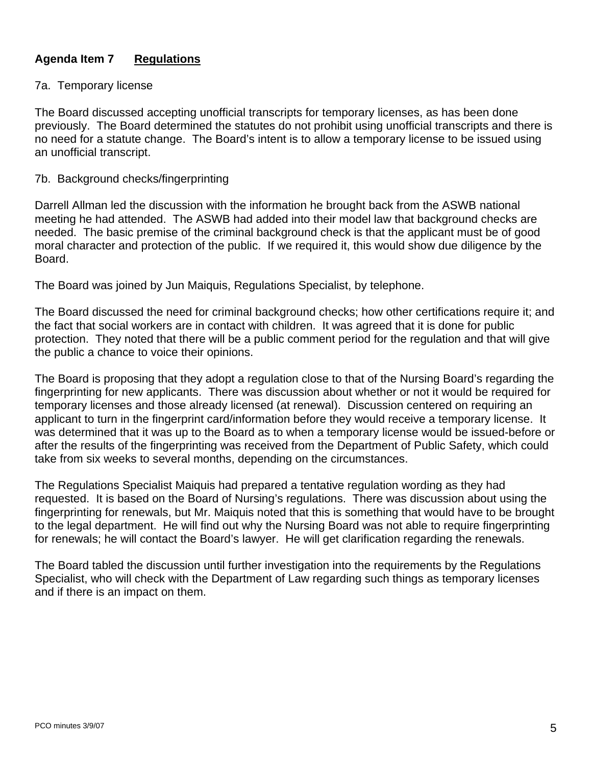# **Agenda Item 7 Regulations**

### 7a. Temporary license

The Board discussed accepting unofficial transcripts for temporary licenses, as has been done previously. The Board determined the statutes do not prohibit using unofficial transcripts and there is no need for a statute change. The Board's intent is to allow a temporary license to be issued using an unofficial transcript.

#### 7b. Background checks/fingerprinting

Darrell Allman led the discussion with the information he brought back from the ASWB national meeting he had attended. The ASWB had added into their model law that background checks are needed. The basic premise of the criminal background check is that the applicant must be of good moral character and protection of the public. If we required it, this would show due diligence by the Board.

The Board was joined by Jun Maiquis, Regulations Specialist, by telephone.

The Board discussed the need for criminal background checks; how other certifications require it; and the fact that social workers are in contact with children. It was agreed that it is done for public protection. They noted that there will be a public comment period for the regulation and that will give the public a chance to voice their opinions.

The Board is proposing that they adopt a regulation close to that of the Nursing Board's regarding the fingerprinting for new applicants. There was discussion about whether or not it would be required for temporary licenses and those already licensed (at renewal). Discussion centered on requiring an applicant to turn in the fingerprint card/information before they would receive a temporary license. It was determined that it was up to the Board as to when a temporary license would be issued-before or after the results of the fingerprinting was received from the Department of Public Safety, which could take from six weeks to several months, depending on the circumstances.

The Regulations Specialist Maiquis had prepared a tentative regulation wording as they had requested. It is based on the Board of Nursing's regulations. There was discussion about using the fingerprinting for renewals, but Mr. Maiquis noted that this is something that would have to be brought to the legal department. He will find out why the Nursing Board was not able to require fingerprinting for renewals; he will contact the Board's lawyer. He will get clarification regarding the renewals.

The Board tabled the discussion until further investigation into the requirements by the Regulations Specialist, who will check with the Department of Law regarding such things as temporary licenses and if there is an impact on them.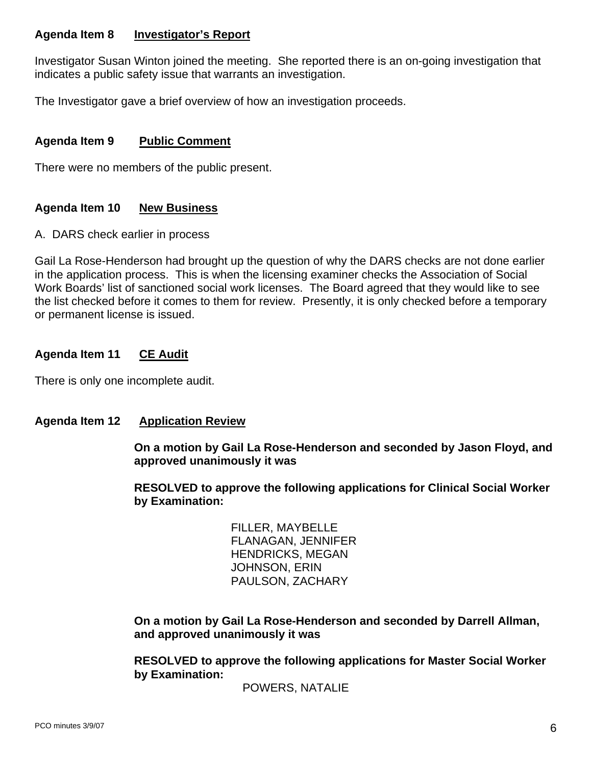# **Agenda Item 8 Investigator's Report**

Investigator Susan Winton joined the meeting. She reported there is an on-going investigation that indicates a public safety issue that warrants an investigation.

The Investigator gave a brief overview of how an investigation proceeds.

# **Agenda Item 9 Public Comment**

There were no members of the public present.

# **Agenda Item 10 New Business**

A. DARS check earlier in process

Gail La Rose-Henderson had brought up the question of why the DARS checks are not done earlier in the application process. This is when the licensing examiner checks the Association of Social Work Boards' list of sanctioned social work licenses. The Board agreed that they would like to see the list checked before it comes to them for review. Presently, it is only checked before a temporary or permanent license is issued.

# **Agenda Item 11 CE Audit**

There is only one incomplete audit.

# **Agenda Item 12 Application Review**

 **On a motion by Gail La Rose-Henderson and seconded by Jason Floyd, and approved unanimously it was** 

 **RESOLVED to approve the following applications for Clinical Social Worker by Examination:** 

> FILLER, MAYBELLE FLANAGAN, JENNIFER HENDRICKS, MEGAN JOHNSON, ERIN PAULSON, ZACHARY

 **On a motion by Gail La Rose-Henderson and seconded by Darrell Allman, and approved unanimously it was** 

 **RESOLVED to approve the following applications for Master Social Worker by Examination:**

POWERS, NATALIE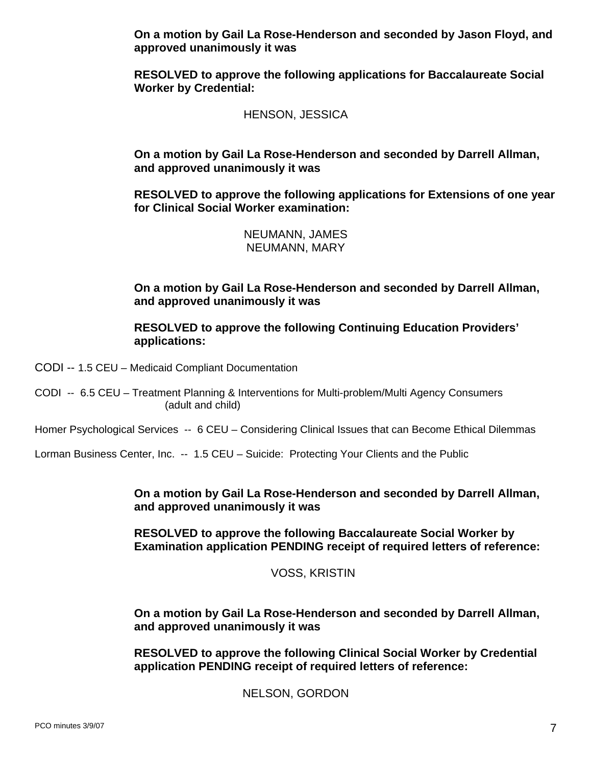**On a motion by Gail La Rose-Henderson and seconded by Jason Floyd, and approved unanimously it was** 

 **RESOLVED to approve the following applications for Baccalaureate Social Worker by Credential:** 

HENSON, JESSICA

 **On a motion by Gail La Rose-Henderson and seconded by Darrell Allman, and approved unanimously it was** 

 **RESOLVED to approve the following applications for Extensions of one year for Clinical Social Worker examination:** 

> NEUMANN, JAMES NEUMANN, MARY

 **On a motion by Gail La Rose-Henderson and seconded by Darrell Allman, and approved unanimously it was** 

**RESOLVED to approve the following Continuing Education Providers' applications:** 

CODI -- 1.5 CEU – Medicaid Compliant Documentation

CODI -- 6.5 CEU – Treatment Planning & Interventions for Multi-problem/Multi Agency Consumers (adult and child)

Homer Psychological Services -- 6 CEU - Considering Clinical Issues that can Become Ethical Dilemmas

Lorman Business Center, Inc. -- 1.5 CEU – Suicide: Protecting Your Clients and the Public

 **On a motion by Gail La Rose-Henderson and seconded by Darrell Allman, and approved unanimously it was** 

**RESOLVED to approve the following Baccalaureate Social Worker by Examination application PENDING receipt of required letters of reference:** 

VOSS, KRISTIN

 **On a motion by Gail La Rose-Henderson and seconded by Darrell Allman, and approved unanimously it was** 

**RESOLVED to approve the following Clinical Social Worker by Credential application PENDING receipt of required letters of reference:** 

NELSON, GORDON